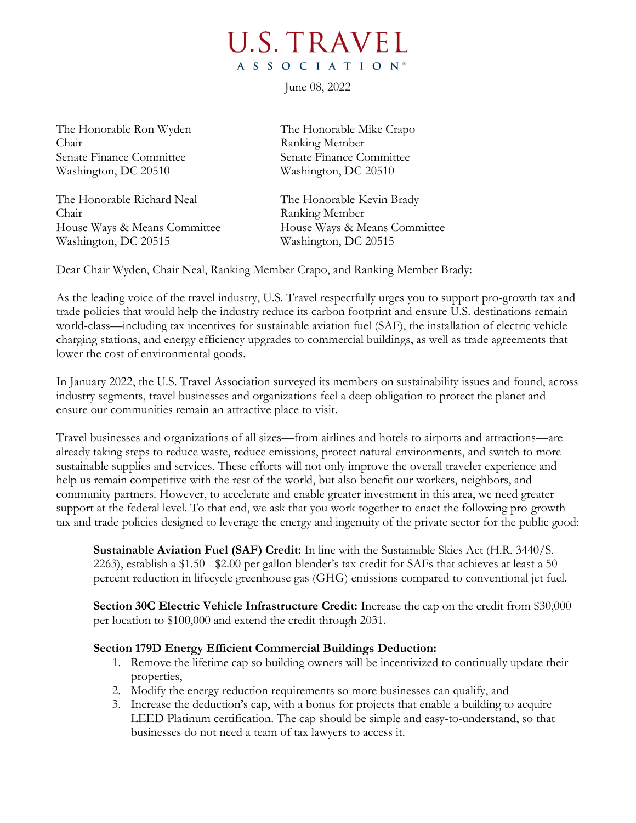## **U.S. TRAVEL** A S S O C I A T I O N<sup>®</sup>

June 08, 2022

The Honorable Ron Wyden The Honorable Mike Crapo Chair Ranking Member Senate Finance Committee Senate Finance Committee Washington, DC 20510 Washington, DC 20510

The Honorable Richard Neal The Honorable Kevin Brady Chair Ranking Member House Ways & Means Committee House Ways & Means Committee Washington, DC 20515 Washington, DC 20515

Dear Chair Wyden, Chair Neal, Ranking Member Crapo, and Ranking Member Brady:

As the leading voice of the travel industry, U.S. Travel respectfully urges you to support pro-growth tax and trade policies that would help the industry reduce its carbon footprint and ensure U.S. destinations remain world-class—including tax incentives for sustainable aviation fuel (SAF), the installation of electric vehicle charging stations, and energy efficiency upgrades to commercial buildings, as well as trade agreements that lower the cost of environmental goods.

In January 2022, the U.S. Travel Association surveyed its members on sustainability issues and found, across industry segments, travel businesses and organizations feel a deep obligation to protect the planet and ensure our communities remain an attractive place to visit.

Travel businesses and organizations of all sizes—from airlines and hotels to airports and attractions—are already taking steps to reduce waste, reduce emissions, protect natural environments, and switch to more sustainable supplies and services. These efforts will not only improve the overall traveler experience and help us remain competitive with the rest of the world, but also benefit our workers, neighbors, and community partners. However, to accelerate and enable greater investment in this area, we need greater support at the federal level. To that end, we ask that you work together to enact the following pro-growth tax and trade policies designed to leverage the energy and ingenuity of the private sector for the public good:

**Sustainable Aviation Fuel (SAF) Credit:** In line with the Sustainable Skies Act (H.R. 3440/S. 2263), establish a \$1.50 - \$2.00 per gallon blender's tax credit for SAFs that achieves at least a 50 percent reduction in lifecycle greenhouse gas (GHG) emissions compared to conventional jet fuel.

**Section 30C Electric Vehicle Infrastructure Credit:** Increase the cap on the credit from \$30,000 per location to \$100,000 and extend the credit through 2031.

## **Section 179D Energy Efficient Commercial Buildings Deduction:**

- 1. Remove the lifetime cap so building owners will be incentivized to continually update their properties,
- 2. Modify the energy reduction requirements so more businesses can qualify, and
- 3. Increase the deduction's cap, with a bonus for projects that enable a building to acquire LEED Platinum certification. The cap should be simple and easy-to-understand, so that businesses do not need a team of tax lawyers to access it.